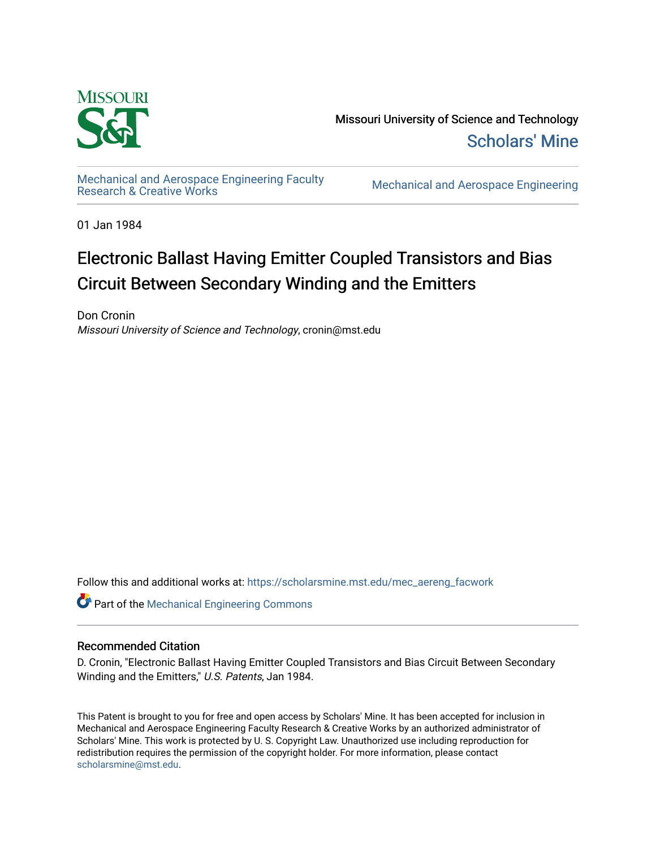

Missouri University of Science and Technology [Scholars' Mine](https://scholarsmine.mst.edu/) 

[Mechanical and Aerospace Engineering Faculty](https://scholarsmine.mst.edu/mec_aereng_facwork) 

**Mechanical and Aerospace Engineering** 

01 Jan 1984

# Electronic Ballast Having Emitter Coupled Transistors and Bias Circuit Between Secondary Winding and the Emitters

Don Cronin Missouri University of Science and Technology, cronin@mst.edu

Follow this and additional works at: [https://scholarsmine.mst.edu/mec\\_aereng\\_facwork](https://scholarsmine.mst.edu/mec_aereng_facwork?utm_source=scholarsmine.mst.edu%2Fmec_aereng_facwork%2F3144&utm_medium=PDF&utm_campaign=PDFCoverPages) 

Part of the [Mechanical Engineering Commons](http://network.bepress.com/hgg/discipline/293?utm_source=scholarsmine.mst.edu%2Fmec_aereng_facwork%2F3144&utm_medium=PDF&utm_campaign=PDFCoverPages) 

## Recommended Citation

D. Cronin, "Electronic Ballast Having Emitter Coupled Transistors and Bias Circuit Between Secondary Winding and the Emitters," U.S. Patents, Jan 1984.

This Patent is brought to you for free and open access by Scholars' Mine. It has been accepted for inclusion in Mechanical and Aerospace Engineering Faculty Research & Creative Works by an authorized administrator of Scholars' Mine. This work is protected by U. S. Copyright Law. Unauthorized use including reproduction for redistribution requires the permission of the copyright holder. For more information, please contact [scholarsmine@mst.edu.](mailto:scholarsmine@mst.edu)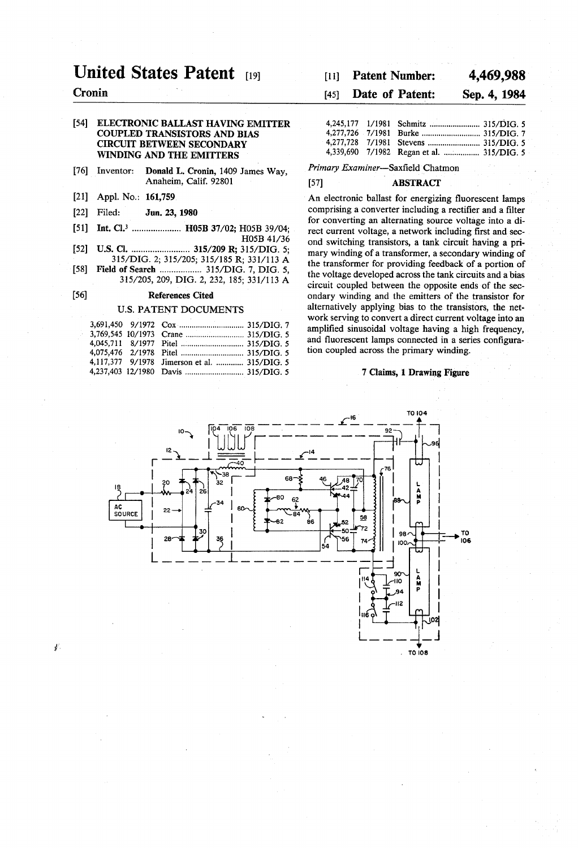## United States Patent [19]

## Cronin

56)

¥.

#### 54) ELECTRONIC BALLAST HAVING EMITTER COUPLED TRANSISTORS AND BIAS CIRCUIT BETWEEN SECONDARY WINDING AND THE EMITTERS

- [76] Inventor: Donald L. Cronin, 1409 James Way, Anaheim, Calif. 92801
- (21) Appl. No.: 161,759
- [22] Filed: Jun. 23, 1980
- [51] Int. Cl.<sup>3</sup> ...................... H05B 37/02; H05B 39/04; H05B 41/36
- (52) U.S.C. ......................... 315/209 R; 315/DIG. 5; 315/DIG. 2; 315/205; 315/185 R; 331/113 A
- 58) Field of Search .................. 315/DIG. 7, DIG. 5, 315/205, 209, DIG. 2, 232, 185; 331/113 A

## References Cited

## U.S. PATENT DOCUMENTS

|  | 4,117,377 9/1978 Jimerson et al.  315/DIG. 5 |  |
|--|----------------------------------------------|--|
|  |                                              |  |

## [11] Patent Number: 4,469,988

## (45) Date of Patent: Sep. 4, 1984

|  | 4,339,690 7/1982 Regan et al.  315/DIG. 5 |  |
|--|-------------------------------------------|--|

Primary Examiner-Saxfield Chatmon

#### (57) ABSTRACT

An electronic ballast for energizing fluorescent lamps comprising a converter including a rectifier and a filter for converting an alternating source voltage into a di rect current voltage, a network including first and sec ond switching transistors, a tank circuit having a pri mary winding of a transformer, a secondary winding of the transformer for providing feedback of a portion of the voltage developed across the tank circuits and a bias circuit coupled between the opposite ends of the secondary winding and the emitters of the transistor for alternatively applying bias to the transistors, the network serving to convert a direct current voltage into an amplified sinusoidal voltage having a high frequency, tion coupled across the primary winding.

## 7 Claims, 1 Drawing Figure

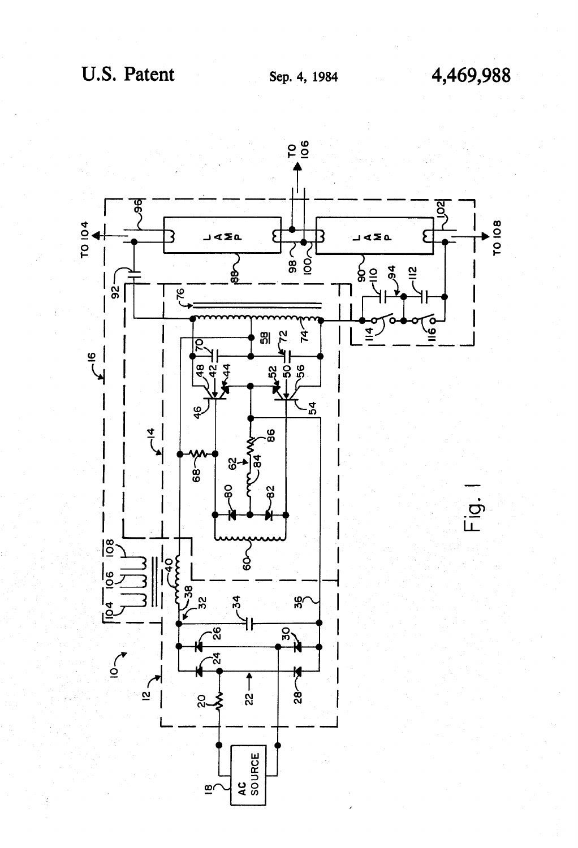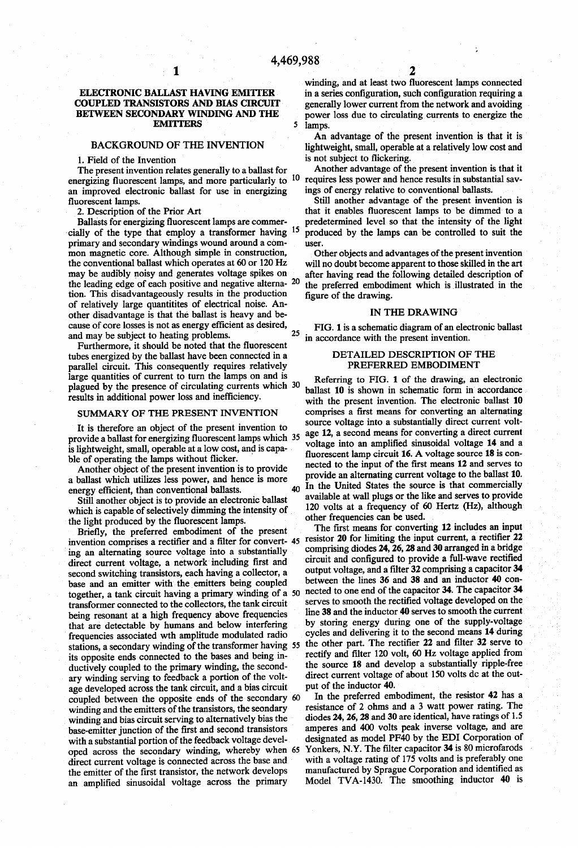5

## ELECTRONIC BALLAST HAVING EMITTER COUPLEDTRANSISTORS AND BIAS CIRCUIT BETWEEN SECONDARY WINDING AND THE EMITTERS

## BACKGROUND OF THE INVENTION

1. Field of the Invention<br>The present invention relates generally to a ballast for energizing fluorescent lamps, and more particularly to an improved electronic ballast for use in energizing fluorescent lamps. 2. Description of the Prior Art 10

Ballasts for energizing fluorescent lamps are commer-<br>cially of the type that employ a transformer having primary and secondary windings wound around a common magnetic core. Although simple in construction, the conventional ballast which operates at 60 or 120 Hz may be audibly noisy and generates voltage spikes on the leading edge of each positive and negative alterna- $20$ tion. This disadvantageously results in the production of relatively large quantitites of electrical noise. An other disadvantage is that the ballast is heavy and be and may be subject to heating problems. 15 25

Furthermore, it should be noted that the fluorescent tubes energized by the ballast have been connected in a parallel circuit. This consequently requires relatively large quantities of current to turn the lamps on and is plagued by the presence of circulating currents which 30 results in additional power loss and inefficiency.

#### SUMMARY OF THE PRESENT INVENTION

It is therefore an object of the present invention to provide a ballast for energizing fluorescent lamps which 35 is lightweight, small, operable at a low cost, and is capable of operating the lamps without flicker.

Another object of the present invention is to provide a ballast which utilizes less power, and hence is more energy efficient, than conventional ballasts.<br>Still another object is to provide an electronic ballast

which is capable of selectively dimming the intensity of the light produced by the fluorescent lamps.

the light produced by the fluorescent lamps.<br>Briefly, the preferred embodiment of the present<br>invention comprises a rectifier and a filter for convert-<br>ing an alternating source voltage into a substantially<br>direct current second switching transistors, each having a collector, a base and an emitter with the emitters being coupled together, a tank circuit having a primary winding of a 50 transformer connected to the collectors, the tank circuit that are detectable by humans and below interfering frequencies associated wth amplitude modulated radio its opposite ends connected to the bases and being inductively coupled to the primary winding, the second ary winding serving to feedback a portion of the volt age developed across the tank circuit, and a bias circuit winding and the emitters of the transistors, the seondary winding and bias circuit serving to alternatively bias the base-emitter junction of the first and second transistors with a substantial portion of the feedback voltage devel oped across the secondary winding, whereby when 65 direct current voltage is connected across the base and the emitter of the first transistor, the network develops an amplified sinusoidal voltage across the primary stations, a secondary winding of the transformer having 55 the other part. The rectifier 22 and filter 32 serve to counled between the opposite ends of the secondary 60

2

lamps. An advantage of the present invention is that it is lightweight, small, operable at a relatively low cost and

power loss due to circulating currents to energize the

is not subject to flickering. Another advantage of the present invention is that it requires less power and hence results in substantial sav ings of energy relative to conventional ballasts.

Still another advantage of the present invention is that it enables fluorescent lamps to be dimmed to a produced by the lamps can be controlled to suit the user.

Other objects and advantages of the present invention will no doubt become apparent to those skilled in the art after having read the following detailed description of the preferred embodiment which is illustrated in the figure of the drawing.

## IN THE DRAWING

FIG. 1 is a schematic diagram of an electronic ballast in accordance with the present invention.

## DETALED DESCRIPTION OF THE PREFERRED EMBODIMENT

40 In the United States the source is that commercially Referring to FIG. 1 of the drawing, an electronic ballast 10 is shown in schematic form in accordance with the present invention. The electronic ballast 10 comprises a first means for converting an alternating source voltage into a substantially direct current volt age 12, a second means for converting a direct current voltage into an amplified sinusoidal voltage 14 and a fluorescent lamp circuit 16. A voltage source 18 is con nected to the input of the first means 12 and serves to provide an alternating current voltage to the ballast 10. available at wall plugs or the like and serves to provide 120 volts at a frequency of 60 Hertz (Hz), although

45 The first means for converting 12 includes an input resistor 20 for limiting the input current, a rectifier 22 other frequencies can be used.<br>The first means for converting 12 includes an input comprising diodes 24, 26, 28 and 30 arranged in a bridge circuit and configured to provide a full-wave rectified output voltage, and a filter 32 comprising a capacitor 34 between the lines 36 and 38 and an inductor 40 con nected to one end of the capacitor 34. The capacitor 34 serves to smooth the rectified voltage developed on the line 38 and the inductor 40 serves to smooth the current<br>by storing energy during one of the supply-voltage cycles and delivering it to the second means 14 during rectify and filter 120 volt, 60 Hz voltage applied from the source 18 and develop a substantially ripple-free direct current voltage of about 150 volts dc at the out put of the inductor 40,

In the preferred embodiment, the resistor 42 has a resistance of 2 ohms and a 3 watt power rating. The diodes 24, 26, 28 and 30 are identical, have ratings of 1.5 amperes and 400 volts peak inverse voltage, and are designated as model PF40 by the EDI Corporation of Yonkers, N.Y. The filter capacitor 34 is 80 microfarods with a voltage rating of 175 volts and is preferably one manufactured by Sprague Corporation and identified as Model TVA-1430. The smoothing inductor 40 is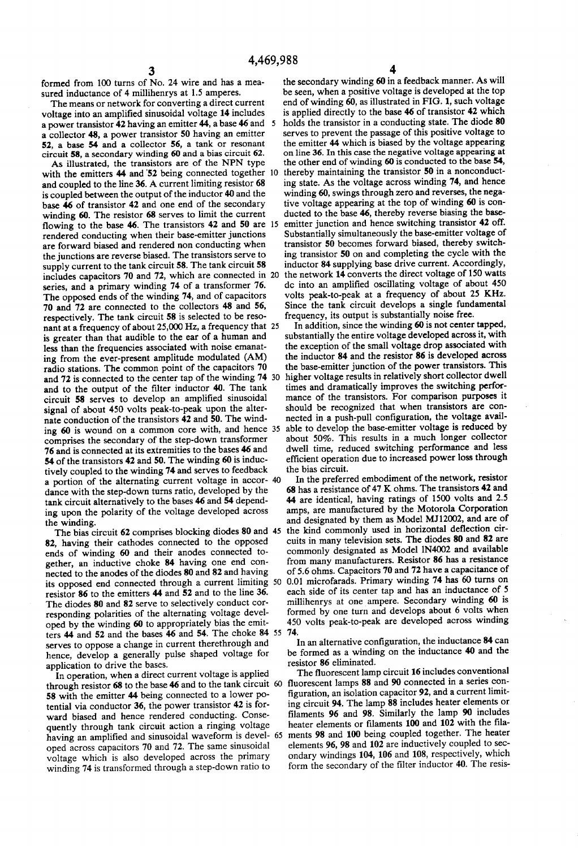formed from 100 turns of No. 24 wire and has a mea-<br>sured inductance of 4 millihenrys at 1.5 amperes.

The means or network for converting a direct current voltage into an amplified sinusoidal voltage 14 includes a power transistor 42 having an emitter 44, a base 46 and 5 a collector 48, a power transistor 50 having an emitter 52, a base 54 and a collector 56, a tank or resonant circuit 58, a secondary winding 60 and a bias circuit 62.

As illustrated, the transistors are of the NPN type with the emitters 44 and 52 being connected together and coupled to the line 36. A current limiting resistor 68 is coupled between the output of the inductor 40 and the base 46 of transistor 42 and one end of the secondary winding 60. The resistor 68 serves to limit the current flowing to the base  $46$ . The transistors  $42$  and  $50$  are 15 rendered conducting when their base-emitter junctions are forward biased and rendered non conducting when the junctions are reverse biased. The transistors serve to supply current to the tank circuit 58. The tank circuit 58 includes capacitors 70 and 72, which are connected in 20 series, and a primary winding 74 of a transformer 76. The opposed ends of the winding 74, and of capacitors 70 and 72 are connected to the collectors 48 and 56, respectively. The tank circuit 58 is selected to be reso nant at a frequency of about 25,000 Hz, a frequency that 25 is greater than that audible to the ear of a human and less than the frequencies associated with noise emanat ing from the ever-present amplitude modulated (AM) radio stations. The common point of the capacitors 70 and 72 is connected to the center tap of the winding 74 30 and to the output of the filter inductor 40. The tank circuit 58 serves to develop an amplified sinusoidal signal of about 450 volts peak-to-peak upon the alter nate conduction of the transistors 42 and 50. The wind comprises the secondary of the step-down transformer 76 and is connected at its extremities to the bases 46 and 54 of the transistors 42 and 50. The winding 60 is induc tively coupled to the winding 74 and serves to feedback a portion of the alternating current voltage in accor-40 dance with the step-down turns ratio, developed by the tank circuit alternatively to the bases 46 and 54 depending upon the polarity of the voltage developed across 10 ing 60 is wound on a common core with, and hence 35 able to develop the base-emitter voltage is reduced by

the winding. The bias circuit 62 comprises blocking diodes 80 and 45 82, having their cathodes connected to the opposed ends of winding 60 and their anodes connected to gether, an inductive choke 84 having one end connected to the anodes of the diodes 80 and 82 and having nected to the anodes of the diodes 80 and 82 and having<br>its opposed end connected through a current limiting<br>resistor 86 to the emitters 44 and 52 and to the line 36. The diodes 80 and 82 serve to selectively conduct cor responding polarities of the alternating voltage devel oped by the winding 60 to appropriately bias the emit ters 44 and 52 and the bases 46 and 54. The choke 84 55  $\frac{14}{1}$ serves to oppose a change in current therethrough and hence, develop a generally pulse shaped voltage for 50

application to drive the bases.<br>In operation, when a direct current voltage is applied In operation, when a direct current voltage is applied through resistor 68 to the base 46 and to the tank circuit 60 fluorescent lamps 88 and 90 connected in a series con-<br> $\frac{1}{2}$  connected in a series connected in a se 58 with the emitter 44 being connected to a lower potential via conductor 36, the power transistor 42 is forward biased and hence rendered conducting. Consequently through tank circuit action a ringing voltage quently through tank circuit action a ringing voltage heater elements of indifferent of the heater<br>having an amplified and sinusoidal waveform is devel- 65 ments 98 and 100 being coupled together. The heater oped across capacitors 70 and 72. The same sinusoidal winding 74 is transformed through a step-down ratio to

the secondary winding 60 in a feedback manner. As will be seen, when a positive voltage is developed at the top end of winding 60, as illustrated in FIG. 1, such voltage is applied directly to the base 46 of transistor 42 which holds the transistor in a conducting state. The diode 80 serves to prevent the passage of this positive voltage to the emitter 44 which is biased by the voltage appearing on line 36. In this case the negative voltage appearing at the other end of winding 60 is conducted to the base 54, thereby maintaining the transistor 50 in a nonconducting state. As the voltage across winding 74, and hence winding 60, swings through zero and reverses, the negative voltage appearing at the top of winding 60 is conducted to the base 46, thereby reverse biasing the base emitter junction and hence switching transistor 42 off. Substantially simultaneously the base-emitter voltage of transistor 50 becomes forward biased, thereby switch ing transistor 50 on and completing the cycle with the inductor 84 supplying base drive current. Accordingly, the network 14 converts the direct voltage of 150 watts dc into an amplified oscillating voltage of about 450 volts peak-to-peak at a frequency of about 25 KHz. Since the tank circuit develops a single fundamental frequency, its output is substantially noise free.<br>In addition, since the winding 60 is not center tapped,

substantially the entire voltage developed across it, with the exception of the small voltage drop associated with the inductor 84 and the resistor 86 is developed across the base-emitter junction of the power transistors. This higher voltage results in relatively short collector dwell times and dramatically improves the switching perfor mance of the transistors. For comparison purposes it should be recognized that when transistors are con nected in a push-pull configuration, the voltage avail about 50%. This results in a much longer collector dwell time, reduced switching performance and less efficient operation due to increased power loss through the bias circuit.

In the preferred embodiment of the network, resistor 68 has a resistance of 47 K ohms. The transistors 42 and 44 are identical, having ratings of 1500 volts and 2.5 amps, are manufactured by the Motorola Corporation and designated by them as Model MJ12002, and are of the kind commonly used in horizontal deflection cir cuits in many television sets. The diodes 80 and 82 are commonly designated as Model lN4002 and available from many manufacturers. Resistor 86 has a resistance of 5.6 ohms. Capacitors 70 and 72 have a capacitance of 0.01 microfarads. Primary winding 74 has 60 turns on millihenrys at one ampere. Secondary winding 60 is formed by one turn and develops about 6 volts when 450 volts peak-to-peak are developed across winding

In an alternative configuration, the inductance 84 can be formed as a winding on the inductance 40 and the resistor 86 eliminated.

The fluorescent lamp circuit 16 includes conventional figuration, an isolation capacitor 92, and a current limit ing circuit 94. The lamp 88 includes heater elements or filaments 96 and 98. Similarly the lamp 90 includes heater elements or filaments 100 and 102 with the fila elements 96, 98 and 102 are inductively coupled to sec ondary windings 104, 106 and 108, respectively, which form the secondary of the filter inductor 40. The resis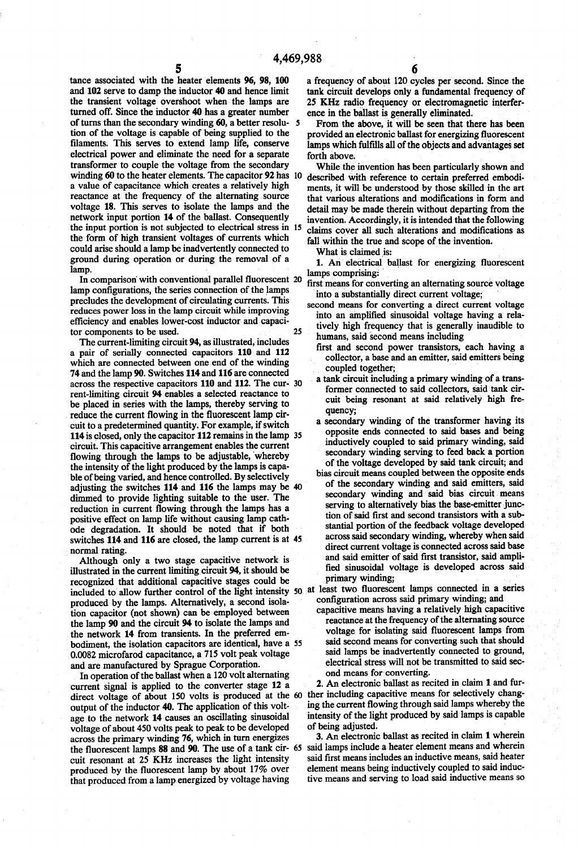tance associated with the heater elements 96, 98, 100 and 102 serve to damp the inductor 40 and hence limit the transient voltage overshoot when the lamps are turned off. Since the inductor 40 has a greater number of turns than the secondary winding 60, a better resolution of the voltage is capable of being supplied to the filaments. This serves to extend lamp life, conserve transformer to couple the voltage from the secondary a value of capacitance which creates a relatively high reactance at the frequency of the alternating, source voltage 18. This serves to isolate the lamps and the network input portion 14 of the ballast. Consequently network input portion 14 of the ballast. Consequently the input portion is not subjected to electrical stress in 15 the form of high transient voltages of currents which could arise should a lampbe inadvertently connected to ground during operation or during the removal of a lamp. winding 60 to the heater elements. The capacitor 92 has 10

In comparison with conventional parallel fluorescent 20 lamp configurations, the series connection of the lamps precludes the development of circulating currents. This reduces power loss in the lamp circuit while improving efficiency and enables lower-cost inductor and capacitor components to be used. 25

The current-limiting circuit 94, as illustrated, includes a pair of serially connected capacitors 110 and 112 which are connected between one end of the winding 74 and the lamp 90. Switches 114 and 116 are connected across the respective capacitors 110 and 112. The cur- 30 rent-limiting circuit 94 enables a selected reactance to be placed in series with the lamps, thereby serving to reduce the current flowing in the fluorescent lamp circuit to a predetermined quantity. For example, if switch circuit. This capacitive arrangement enables the current flowing through the lamps to be adjustable, whereby the intensity of the light produced by the lamps is capable of being varied, and hence controlled. By selectively adjusting the switches 114 and 116 the lamps may be 40 dimmed to provide lighting suitable to the user. The reduction in current flowing through the lamps has a positive effect on lamp life without causing lamp cath ode degradation. It should be noted that if both switches 114 and 116 are closed, the lamp current is at 45 114 is closed, only the capacitor 112 remains in the lamp 35

normal rating. Although only a two stage capacitive network is illustrated in the current limiting circuit 94, it should be recognized that additional capacitive stages could be recognized that additional capacitive stages could be<br>
included to allow further control of the light intensity 50 at least two fluorescent lamps connected in a series<br>
produced by the lamps. Alternatively, a second isolaproduced by the lamps. Alternatively, a second isolation capacitor (not shown) can be employed between the lamp 90 and the circuit 94 to isolate the lamps and the network 14 from transients. In the preferred em bodiment, the isolation capacitors are identical, have a 55 0.0082 microfarod capacitance, a 715 volt peak voltage and are manufactured by Sprague Corporation. In operation of the ballast when a 120 volt alternating

current signal is applied to the converter stage 12 a direct voltage of about 150 volts is produced at the 60 ther including capacitive means for selectively chang output of the inductor 40, The application of this volt age to the network 14 causes an oscillating sinusoidal voltage of about 450 volts peak to peak to be developed across the primary winding 76, which in turn energizes across the primary winding 76, which in turn energizes the fluorescent lamps 88 and 90. The use of a tank cir 65 cuit resonant at 25 KHz increases the light intensity produced by the fluorescent lamp by about 17% over that produced from a lamp energized by voltage having

a frequency of about 120 cycles per second. Since the tank circuit develops only a fundamental frequency of 25 KHz radio frequency or electromagnetic interfer ence in the ballast is generally eliminated.

From the above, it will be seen that there has been provided an electronic ballast for energizing fluorescent lamps which fulfills all of the objects and advantages set forth above.

While the invention has been particularly shown and described with reference to certain preferred embodi ments, it will be understood by those skilled in the art that various alterations and modifications in form and detail may be made therein without departing from the invention. Accordingly, it is intended that the following claims cover all such alterations and modifications as fall within the true and scope of the invention.

What is claimed is:<br>1. An electrical ballast for energizing fluorescent

- 
- lamps comprising:<br>first means for converting an alternating source voltage<br>into a substantially direct current voltage;<br>second means for converting a direct current voltage<br>into an amplified sinusoidal voltage having a rel tively high frequency that is generally inaudible to
	- first and second power transistors, each having a collector, a base and an emitter, said emitters being coupled together;
	- a tank circuit including a primary winding of a trans former connected to said collectors, said tank cir cuit being resonant at said relatively high fre quency;
	- a secondary winding of the transformer having its<br>opposite ends connected to said bases and being inductively coupled to said primary winding, said secondary winding serving to feed back a portion of the voltage developed by said tank circuit; and
- bias circuit means coupled between the opposite ends of the secondary winding and said emitters, said secondary winding and said bias circuit means serving to alternatively bias the base-emitter junc tion of said first and second transistors with a sub stantial portion of the feedback voltage developed across said secondary winding, whereby when said direct current voltage is connected across said base<br>and said emitter of said first transistor, said amplified sinusoidal voltage is developed across said primary winding;

capacitive means having a relatively high capacitive reactance at the frequency of the alternating source voltage for isolating said fluorescent lamps from said second means for converting such that should<br>said lamps be inadvertently connected to ground, electrical stress will not be transmitted to said second means for converting.

2. An electronic ballast as recited in claim 1 and fur ing the current flowing through said lamps whereby the intensity of the light produced by said lamps is capable of being adjusted.

3. An electronic ballast as recited in claim 1 wherein said lamps include a heater element means and wherein said first means includes an inductive means, said heater element means being inductively coupled to said induc tive means and serving to load said inductive means so